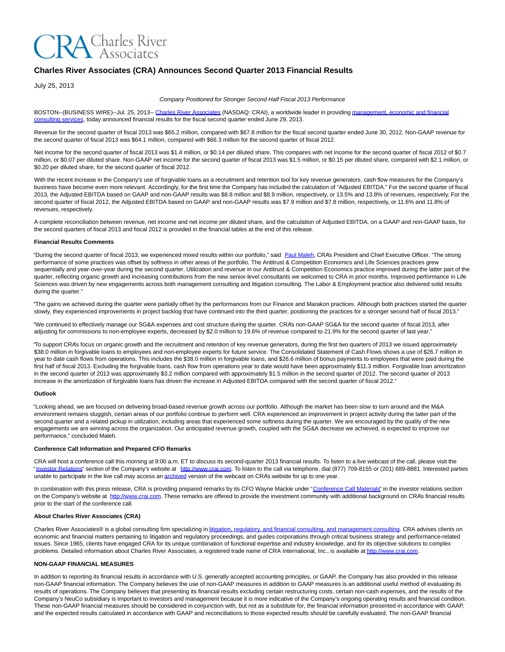

# **Charles River Associates (CRA) Announces Second Quarter 2013 Financial Results**

July 25, 2013

### Company Positioned for Stronger Second Half Fiscal 2013 Performance

BOSTON--(BUSINESS WIRE)--Jul. 25, 2013-- [Charles River Associates \(](http://cts.businesswire.com/ct/CT?id=smartlink&url=http%3A%2F%2Fwww.crai.com%2FDefault.aspx&esheet=50677485&newsitemid=20130725005715&lan=en-US&anchor=Charles+River+Associates&index=1&md5=b05e0579dbe182e47296276320b43fe1)NASDAQ: CRAI), a worldwide leader in providin[g management, economic and financial](http://cts.businesswire.com/ct/CT?id=smartlink&url=http%3A%2F%2Fwww.crai.com%2FConsultingExpertise%2FDefaultCustom.aspx&esheet=50677485&newsitemid=20130725005715&lan=en-US&anchor=management%2C+economic+and+financial+consulting+services&index=2&md5=642463766b7f4834b1cc9ba8ec96b4b2) consulting services, today announced financial results for the fiscal second quarter ended June 29, 2013.

Revenue for the second quarter of fiscal 2013 was \$65.2 million, compared with \$67.8 million for the fiscal second quarter ended June 30, 2012. Non-GAAP revenue for the second quarter of fiscal 2013 was \$64.1 million, compared with \$66.3 million for the second quarter of fiscal 2012.

Net income for the second quarter of fiscal 2013 was \$1.4 million, or \$0.14 per diluted share. This compares with net income for the second quarter of fiscal 2012 of \$0.7 million, or \$0.07 per diluted share. Non-GAAP net income for the second quarter of fiscal 2013 was \$1.5 million, or \$0.15 per diluted share, compared with \$2.1 million, or \$0.20 per diluted share, for the second quarter of fiscal 2012.

With the recent increase in the Company's use of forgivable loans as a recruitment and retention tool for key revenue generators, cash flow measures for the Company's business have become even more relevant. Accordingly, for the first time the Company has included the calculation of "Adjusted EBITDA." For the second quarter of fiscal 2013, the Adjusted EBITDA based on GAAP and non-GAAP results was \$8.8 million and \$8.9 million, respectively, or 13.5% and 13.8% of revenues, respectively. For the second quarter of fiscal 2012, the Adjusted EBITDA based on GAAP and non-GAAP results was \$7.9 million and \$7.8 million, respectively, or 11.6% and 11.8% of revenues, respectively.

A complete reconciliation between revenue, net income and net income per diluted share, and the calculation of Adjusted EBITDA, on a GAAP and non-GAAP basis, for the second quarters of fiscal 2013 and fiscal 2012 is provided in the financial tables at the end of this release.

### **Financial Results Comments**

"During the second quarter of fiscal 2013, we experienced mixed results within our portfolio," said [Paul Maleh,](http://cts.businesswire.com/ct/CT?id=smartlink&url=http%3A%2F%2Fwww.crai.com%2FProfessionalStaff%2Flistingdetails.aspx%3Fid%3D2580&esheet=50677485&newsitemid=20130725005715&lan=en-US&anchor=Paul+Maleh&index=3&md5=08288bba06133a99b8ca6c9a256d802f) CRA's President and Chief Executive Officer. "The strong performance of some practices was offset by softness in other areas of the portfolio. The Antitrust & Competition Economics and Life Sciences practices grew sequentially and year-over-year during the second quarter. Utilization and revenue in our Antitrust & Competition Economics practice improved during the latter part of the quarter, reflecting organic growth and increasing contributions from the new senior-level consultants we welcomed to CRA in prior months. Improved performance in Life Sciences was driven by new engagements across both management consulting and litigation consulting. The Labor & Employment practice also delivered solid results during the quarter."

"The gains we achieved during the quarter were partially offset by the performances from our Finance and Marakon practices. Although both practices started the quarter slowly, they experienced improvements in project backlog that have continued into the third quarter, positioning the practices for a stronger second half of fiscal 2013."

"We continued to effectively manage our SG&A expenses and cost structure during the quarter. CRA's non-GAAP SG&A for the second quarter of fiscal 2013, after adjusting for commissions to non-employee experts, decreased by \$2.0 million to 19.6% of revenue compared to 21.9% for the second quarter of last year."

"To support CRA's focus on organic growth and the recruitment and retention of key revenue generators, during the first two quarters of 2013 we issued approximately \$38.0 million in forgivable loans to employees and non-employee experts for future service. The Consolidated Statement of Cash Flows shows a use of \$26.7 million in year to date cash flows from operations. This includes the \$38.0 million in forgivable loans, and \$26.6 million of bonus payments to employees that were paid during the first half of fiscal 2013. Excluding the forgivable loans, cash flow from operations year to date would have been approximately \$11.3 million. Forgivable loan amortization in the second quarter of 2013 was approximately \$3.2 million compared with approximately \$1.5 million in the second quarter of 2012. The second quarter of 2013 increase in the amortization of forgivable loans has driven the increase in Adjusted EBITDA compared with the second quarter of fiscal 2012."

### **Outlook**

"Looking ahead, we are focused on delivering broad-based revenue growth across our portfolio. Although the market has been slow to turn around and the M&A environment remains sluggish, certain areas of our portfolio continue to perform well. CRA experienced an improvement in project activity during the latter part of the second quarter and a related pickup in utilization, including areas that experienced some softness during the quarter. We are encouraged by the quality of the new engagements we are winning across the organization. Our anticipated revenue growth, coupled with the SG&A decrease we achieved, is expected to improve our performance," concluded Maleh.

### **Conference Call Information and Prepared CFO Remarks**

CRA will host a conference call this morning at 9:00 a.m. ET to discuss its second-quarter 2013 financial results. To listen to a live webcast of the call, please visit the ["Investor Relations"](http://cts.businesswire.com/ct/CT?id=smartlink&url=http%3A%2F%2Fphx.corporate-ir.net%2Fphoenix.zhtml%3Fc%3D97435%26p%3Dirol-IRHome&esheet=50677485&newsitemid=20130725005715&lan=en-US&anchor=Investor+Relations&index=4&md5=93fa8e997bd9ce86ba2d7e54b072a887) section of the Company's website at [http://www.crai.com.](http://cts.businesswire.com/ct/CT?id=smartlink&url=http%3A%2F%2Fwww.crai.com%2FDefault.aspx&esheet=50677485&newsitemid=20130725005715&lan=en-US&anchor=http%3A%2F%2Fwww.crai.com&index=5&md5=498459acadfb3290188cf532b156d6a4) To listen to the call via telephone, dial (877) 709-8155 or (201) 689-8881. Interested parties unable to participate in the live call may access an [archived v](http://cts.businesswire.com/ct/CT?id=smartlink&url=http%3A%2F%2Fphx.corporate-ir.net%2Fphoenix.zhtml%3Fc%3D97435%26p%3Dirol-audioarchives&esheet=50677485&newsitemid=20130725005715&lan=en-US&anchor=archived&index=6&md5=b2f28c99ef688016006906e4cbceefca)ersion of the webcast on CRA's website for up to one year.

In combination with this press release, CRA is providing prepared remarks by its CFO Wayne Mackie under ["Conference Call Materials"](http://cts.businesswire.com/ct/CT?id=smartlink&url=http%3A%2F%2Fphx.corporate-ir.net%2Fphoenix.zhtml%3Fc%3D97435%26p%3Dirol-presentations&esheet=50677485&newsitemid=20130725005715&lan=en-US&anchor=Conference+Call+Materials&index=7&md5=4437387721a77beec9b759f75aad7b88) in the investor relations section on the Company's website at [http://www.crai.com.](http://cts.businesswire.com/ct/CT?id=smartlink&url=http%3A%2F%2Fwww.crai.com%2FDefault.aspx&esheet=50677485&newsitemid=20130725005715&lan=en-US&anchor=http%3A%2F%2Fwww.crai.com&index=8&md5=7b3d4c9d73e4b2adc3f57af5a275d386) These remarks are offered to provide the investment community with additional background on CRA's financial results prior to the start of the conference call.

### **About Charles River Associates (CRA)**

Charles River Associates® is a global consulting firm specializing i[n litigation, regulatory, and financial consulting, and management consulting.](http://cts.businesswire.com/ct/CT?id=smartlink&url=http%3A%2F%2Fwww.crai.com%2FConsultingExpertise%2FDefaultCustom.aspx&esheet=50677485&newsitemid=20130725005715&lan=en-US&anchor=litigation%2C+regulatory%2C+and+financial+consulting%2C+and+management+consulting&index=9&md5=ae61b4417b5aea9f7748747392023daf) CRA advises clients on economic and financial matters pertaining to litigation and regulatory proceedings, and guides corporations through critical business strategy and performance-related issues. Since 1965, clients have engaged CRA for its unique combination of functional expertise and industry knowledge, and for its objective solutions to complex problems. Detailed information about Charles River Associates, a registered trade name of CRA International, Inc., is available a[t http://www.crai.com.](http://cts.businesswire.com/ct/CT?id=smartlink&url=http%3A%2F%2Fwww.crai.com%2FDefault.aspx&esheet=50677485&newsitemid=20130725005715&lan=en-US&anchor=http%3A%2F%2Fwww.crai.com&index=10&md5=a12a6fb820d0043b115f58e2647c2b2b)

### **NON-GAAP FINANCIAL MEASURES**

In addition to reporting its financial results in accordance with U.S. generally accepted accounting principles, or GAAP, the Company has also provided in this release non-GAAP financial information. The Company believes the use of non-GAAP measures in addition to GAAP measures is an additional useful method of evaluating its results of operations. The Company believes that presenting its financial results excluding certain restructuring costs, certain non-cash expenses, and the results of the Company's NeuCo subsidiary is important to investors and management because it is more indicative of the Company's ongoing operating results and financial condition. These non-GAAP financial measures should be considered in conjunction with, but not as a substitute for, the financial information presented in accordance with GAAP, and the expected results calculated in accordance with GAAP and reconciliations to those expected results should be carefully evaluated. The non-GAAP financial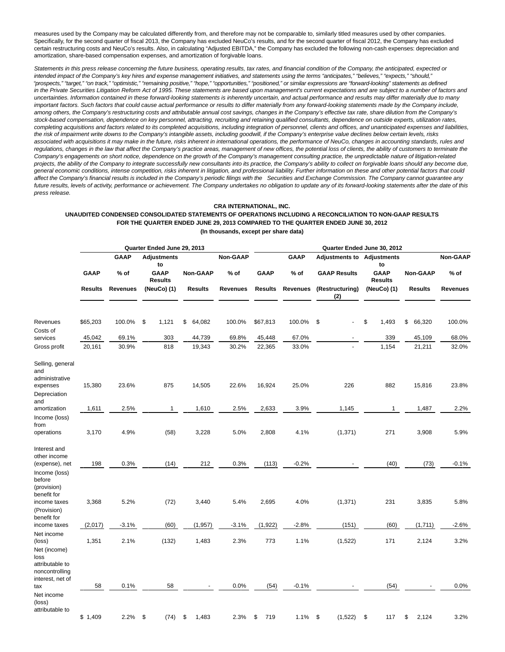measures used by the Company may be calculated differently from, and therefore may not be comparable to, similarly titled measures used by other companies. Specifically, for the second quarter of fiscal 2013, the Company has excluded NeuCo's results, and for the second quarter of fiscal 2012, the Company has excluded certain restructuring costs and NeuCo's results. Also, in calculating "Adjusted EBITDA," the Company has excluded the following non-cash expenses: depreciation and amortization, share-based compensation expenses, and amortization of forgivable loans.

Statements in this press release concerning the future business, operating results, tax rates, and financial condition of the Company, the anticipated, expected or intended impact of the Company's key hires and expense management initiatives, and statements using the terms "anticipates," "believes," "expects," "should," "prospects," "target," "on track," "optimistic," "remaining positive," "hope," "opportunities," "positioned," or similar expressions are "forward-looking" statements as defined in the Private Securities Litigation Reform Act of 1995. These statements are based upon management's current expectations and are subject to a number of factors and uncertainties. Information contained in these forward-looking statements is inherently uncertain, and actual performance and results may differ materially due to many important factors. Such factors that could cause actual performance or results to differ materially from any forward-looking statements made by the Company include, among others, the Company's restructuring costs and attributable annual cost savings, changes in the Company's effective tax rate, share dilution from the Company's stock-based compensation, dependence on key personnel, attracting, recruiting and retaining qualified consultants, dependence on outside experts, utilization rates, completing acquisitions and factors related to its completed acquisitions, including integration of personnel, clients and offices, and unanticipated expenses and liabilities, the risk of impairment write downs to the Company's intangible assets, including goodwill, if the Company's enterprise value declines below certain levels, risks associated with acquisitions it may make in the future, risks inherent in international operations, the performance of NeuCo, changes in accounting standards, rules and regulations, changes in the law that affect the Company's practice areas, management of new offices, the potential loss of clients, the ability of customers to terminate the Company's engagements on short notice, dependence on the growth of the Company's management consulting practice, the unpredictable nature of litigation-related projects, the ability of the Company to integrate successfully new consultants into its practice, the Company's ability to collect on forgivable loans should any become due, general economic conditions, intense competition, risks inherent in litigation, and professional liability. Further information on these and other potential factors that could affect the Company's financial results is included in the Company's periodic filings with the Securities and Exchange Commission. The Company cannot guarantee any future results, levels of activity, performance or achievement. The Company undertakes no obligation to update any of its forward-looking statements after the date of this press release.

# **CRA INTERNATIONAL, INC.**

## **UNAUDITED CONDENSED CONSOLIDATED STATEMENTS OF OPERATIONS INCLUDING A RECONCILIATION TO NON-GAAP RESULTS FOR THE QUARTER ENDED JUNE 29, 2013 COMPARED TO THE QUARTER ENDED JUNE 30, 2012 (In thousands, except per share data)**

|                                                                                    |             |                 |             | Quarter Ended June 29, 2013   |                |                 |                 | Quarter Ended June 30, 2012 |                 |    |                          |    |                               |    |                |                 |
|------------------------------------------------------------------------------------|-------------|-----------------|-------------|-------------------------------|----------------|-----------------|-----------------|-----------------------------|-----------------|----|--------------------------|----|-------------------------------|----|----------------|-----------------|
|                                                                                    |             | <b>GAAP</b>     |             | <b>Adjustments</b><br>to      |                |                 | <b>Non-GAAP</b> |                             | <b>GAAP</b>     |    | <b>Adjustments to</b>    |    | <b>Adjustments</b><br>to      |    |                | <b>Non-GAAP</b> |
|                                                                                    | <b>GAAP</b> | $%$ of          |             | <b>GAAP</b><br><b>Results</b> |                | <b>Non-GAAP</b> | % of            | <b>GAAP</b>                 | $%$ of          |    | <b>GAAP Results</b>      |    | <b>GAAP</b><br><b>Results</b> |    | Non-GAAP       | $%$ of          |
|                                                                                    | Results     | <b>Revenues</b> | (NeuCo) (1) |                               | <b>Results</b> |                 | <b>Revenues</b> | <b>Results</b>              | <b>Revenues</b> |    | (Restructuring)<br>(2)   |    | (NeuCo) (1)                   |    | <b>Results</b> | <b>Revenues</b> |
| Revenues<br>Costs of                                                               | \$65,203    | 100.0%          | \$          | 1,121                         | \$             | 64,082          | 100.0%          | \$67,813                    | 100.0%          | \$ | ٠                        | \$ | 1,493                         | \$ | 66,320         | 100.0%          |
| services                                                                           | 45,042      | 69.1%           |             | 303                           |                | 44,739          | 69.8%           | 45,448                      | 67.0%           |    | $\overline{\phantom{a}}$ |    | 339                           |    | 45,109         | 68.0%           |
| Gross profit                                                                       | 20,161      | 30.9%           |             | 818                           |                | 19,343          | 30.2%           | 22,365                      | 33.0%           |    |                          |    | 1,154                         |    | 21,211         | 32.0%           |
| Selling, general<br>and<br>administrative                                          |             |                 |             |                               |                |                 |                 |                             |                 |    |                          |    |                               |    |                |                 |
| expenses<br>Depreciation<br>and                                                    | 15,380      | 23.6%           |             | 875                           |                | 14,505          | 22.6%           | 16,924                      | 25.0%           |    | 226                      |    | 882                           |    | 15,816         | 23.8%           |
| amortization                                                                       | 1,611       | 2.5%            |             | 1                             |                | 1,610           | 2.5%            | 2,633                       | 3.9%            |    | 1,145                    |    | 1                             |    | 1,487          | 2.2%            |
| Income (loss)<br>from<br>operations                                                | 3,170       | 4.9%            |             | (58)                          |                | 3,228           | 5.0%            | 2,808                       | 4.1%            |    | (1, 371)                 |    | 271                           |    | 3,908          | 5.9%            |
| Interest and<br>other income<br>(expense), net<br>Income (loss)                    | 198         | 0.3%            |             | (14)                          |                | 212             | 0.3%            | (113)                       | $-0.2%$         |    |                          |    | (40)                          |    | (73)           | $-0.1%$         |
| before<br>(provision)<br>benefit for<br>income taxes<br>(Provision)<br>benefit for | 3,368       | 5.2%            |             | (72)                          |                | 3,440           | 5.4%            | 2,695                       | 4.0%            |    | (1, 371)                 |    | 231                           |    | 3,835          | 5.8%            |
| income taxes                                                                       | (2,017)     | $-3.1%$         |             | (60)                          |                | (1, 957)        | -3.1%           | (1, 922)                    | $-2.8%$         |    | (151)                    |    | (60)                          |    | (1,711)        | $-2.6%$         |
| Net income<br>(loss)<br>Net (income)<br>loss                                       | 1,351       | 2.1%            |             | (132)                         |                | 1,483           | 2.3%            | 773                         | 1.1%            |    | (1, 522)                 |    | 171                           |    | 2,124          | 3.2%            |
| attributable to<br>noncontrolling<br>interest, net of<br>tax                       | 58          | 0.1%            |             | 58                            |                |                 | 0.0%            | (54)                        | $-0.1%$         |    |                          |    | (54)                          |    |                | 0.0%            |
| Net income<br>(loss)<br>attributable to                                            |             |                 |             |                               |                |                 |                 |                             |                 |    |                          |    |                               |    |                |                 |
|                                                                                    | \$1.409     | 2.2%            | \$          | (74)                          | \$             | 1,483           | 2.3%            | \$<br>719                   | 1.1%            | \$ | (1,522)                  | \$ | 117                           | \$ | 2,124          | 3.2%            |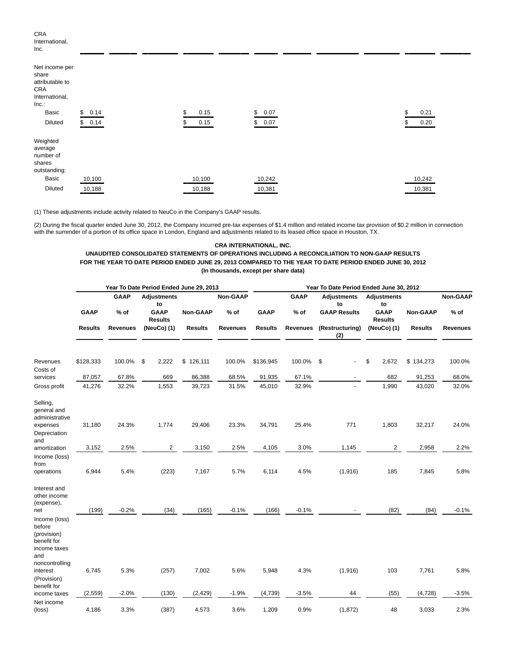| Inc.                                                                                            |                      |         |              |                      |  |          |              |
|-------------------------------------------------------------------------------------------------|----------------------|---------|--------------|----------------------|--|----------|--------------|
| Net income per<br>share<br>attributable to<br>CRA<br>International,<br>Inc.<br>Basic<br>Diluted | \$<br>0.14<br>\$0.14 | \$<br>S | 0.15<br>0.15 | \$<br>0.07<br>\$0.07 |  | \$<br>\$ | 0.21<br>0.20 |
| Weighted<br>average<br>number of<br>shares<br>outstanding:<br>Basic                             | 10,100               |         | 10,100       | 10,242               |  |          | 10,242       |
| <b>Diluted</b>                                                                                  | 10,188               |         | 10,188       | 10,381               |  |          | 10,381       |

(1) These adjustments include activity related to NeuCo in the Company's GAAP results.

CRA International,

(2) During the fiscal quarter ended June 30, 2012, the Company incurred pre-tax expenses of \$1.4 million and related income tax provision of \$0.2 million in connection with the surrender of a portion of its office space in London, England and adjustments related to its leased office space in Houston, TX.

## **CRA INTERNATIONAL, INC.**

# **UNAUDITED CONSOLIDATED STATEMENTS OF OPERATIONS INCLUDING A RECONCILIATION TO NON-GAAP RESULTS FOR THE YEAR TO DATE PERIOD ENDED JUNE 29, 2013 COMPARED TO THE YEAR TO DATE PERIOD ENDED JUNE 30, 2012 (In thousands, except per share data)**

|                                                                                                                            |                   |                 | Year To Date Period Ended June 29, 2013 |                   |                 | Year To Date Period Ended June 30, 2012 |                 |                                |                               |                   |                 |  |  |  |  |
|----------------------------------------------------------------------------------------------------------------------------|-------------------|-----------------|-----------------------------------------|-------------------|-----------------|-----------------------------------------|-----------------|--------------------------------|-------------------------------|-------------------|-----------------|--|--|--|--|
|                                                                                                                            |                   | <b>GAAP</b>     | <b>Adjustments</b><br>to                |                   | Non-GAAP        |                                         | <b>GAAP</b>     | <b>Adjustments</b><br>to       | <b>Adjustments</b><br>to      |                   | <b>Non-GAAP</b> |  |  |  |  |
|                                                                                                                            | <b>GAAP</b>       | $%$ of          | <b>GAAP</b><br><b>Results</b>           | <b>Non-GAAP</b>   | $%$ of          | <b>GAAP</b>                             | $%$ of          | <b>GAAP Results</b>            | <b>GAAP</b><br><b>Results</b> | <b>Non-GAAP</b>   | $%$ of          |  |  |  |  |
|                                                                                                                            | <b>Results</b>    | <b>Revenues</b> | (NeuCo) (1)                             | <b>Results</b>    | <b>Revenues</b> | <b>Results</b>                          | <b>Revenues</b> | (Restructuring)<br>(2)         | (NeuCo) (1)                   | <b>Results</b>    | <b>Revenues</b> |  |  |  |  |
| Revenues<br>Costs of                                                                                                       | \$128,333         | 100.0%          | \$<br>2,222                             | \$<br>126,111     | 100.0%          | \$136,945                               | 100.0%          | \$<br>$\overline{\phantom{a}}$ | \$<br>2,672                   | \$134,273         | 100.0%          |  |  |  |  |
| services                                                                                                                   | 87,057            | 67.8%           | 669                                     | 86,388            | 68.5%           | 91,935                                  | 67.1%           |                                | 682                           | 91,253            | 68.0%           |  |  |  |  |
| Gross profit                                                                                                               | 41,276            | 32.2%           | 1,553                                   | 39,723            | 31.5%           | 45,010                                  | 32.9%           |                                | 1,990                         | 43,020            | 32.0%           |  |  |  |  |
| Selling,<br>general and<br>administrative<br>expenses<br>Depreciation<br>and                                               | 31,180            | 24.3%           | 1,774                                   | 29,406            | 23.3%           | 34,791                                  | 25.4%           | 771                            | 1,803                         | 32,217            | 24.0%           |  |  |  |  |
| amortization                                                                                                               | 3,152             | 2.5%            | $\overline{2}$                          | 3,150             | 2.5%            | 4,105                                   | 3.0%            | 1,145                          | 2                             | 2,958             | 2.2%            |  |  |  |  |
| Income (loss)<br>from<br>operations                                                                                        | 6,944             | 5.4%            | (223)                                   | 7,167             | 5.7%            | 6,114                                   | 4.5%            | (1,916)                        | 185                           | 7,845             | 5.8%            |  |  |  |  |
| Interest and<br>other income<br>(expense),<br>net<br>Income (loss)<br>before<br>(provision)<br>benefit for<br>income taxes | (199)             | $-0.2%$         | (34)                                    | (165)             | $-0.1%$         | (166)                                   | $-0.1%$         |                                | (82)                          | (84)              | $-0.1%$         |  |  |  |  |
| and<br>noncontrolling<br>interest<br>(Provision)<br>benefit for<br>income taxes                                            | 6,745<br>(2, 559) | 5.3%<br>$-2.0%$ | (257)<br>(130)                          | 7,002<br>(2, 429) | 5.6%<br>$-1.9%$ | 5,948<br>(4,739)                        | 4.3%<br>$-3.5%$ | (1,916)<br>44                  | 103<br>(55)                   | 7,761<br>(4, 728) | 5.8%<br>$-3.5%$ |  |  |  |  |
| Net income                                                                                                                 |                   |                 |                                         |                   |                 |                                         |                 |                                |                               |                   |                 |  |  |  |  |
| (loss)                                                                                                                     | 4,186             | 3.3%            | (387)                                   | 4,573             | 3.6%            | 1,209                                   | 0.9%            | (1,872)                        | 48                            | 3,033             | 2.3%            |  |  |  |  |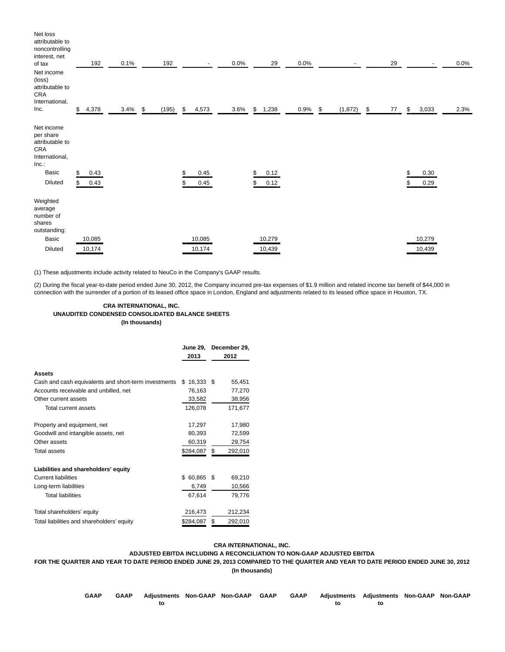| Net loss<br>attributable to<br>noncontrolling<br>interest, net<br>of tax    | 192         | 0.1% | 192         |             | 0.0% | 29          | 0.0% |    |         |    | 29 | $\overline{\phantom{a}}$ | 0.0% |
|-----------------------------------------------------------------------------|-------------|------|-------------|-------------|------|-------------|------|----|---------|----|----|--------------------------|------|
| Net income<br>(loss)<br>attributable to<br>CRA<br>International,<br>Inc.    | \$<br>4,378 | 3.4% | \$<br>(195) | \$<br>4,573 | 3.6% | \$<br>1,238 | 0.9% | \$ | (1,872) | \$ | 77 | \$<br>3,033              | 2.3% |
| Net income<br>per share<br>attributable to<br>CRA<br>International,<br>Inc. |             |      |             |             |      |             |      |    |         |    |    |                          |      |
| <b>Basic</b>                                                                | 0.43<br>\$  |      |             | 0.45        |      | 0.12        |      |    |         |    |    | \$<br>0.30               |      |
| Diluted                                                                     | 0.43<br>\$  |      |             | 0.45        |      | \$<br>0.12  |      |    |         |    |    | 0.29                     |      |
| Weighted<br>average<br>number of<br>shares<br>outstanding:                  |             |      |             |             |      |             |      |    |         |    |    |                          |      |
| <b>Basic</b>                                                                | 10,085      |      |             | 10,085      |      | 10,279      |      |    |         |    |    | 10,279                   |      |
| Diluted                                                                     | 10,174      |      |             | 10,174      |      | 10,439      |      |    |         |    |    | 10,439                   |      |

(1) These adjustments include activity related to NeuCo in the Company's GAAP results.

(2) During the fiscal year-to-date period ended June 30, 2012, the Company incurred pre-tax expenses of \$1.9 million and related income tax benefit of \$44,000 in connection with the surrender of a portion of its leased office space in London, England and adjustments related to its leased office space in Houston, TX.

## **CRA INTERNATIONAL, INC. UNAUDITED CONDENSED CONSOLIDATED BALANCE SHEETS (In thousands)**

|                                                      | <b>June 29.</b><br>2013 | December 29,<br>2012 |  |
|------------------------------------------------------|-------------------------|----------------------|--|
| Assets                                               |                         |                      |  |
| Cash and cash equivalents and short-term investments | 16,333<br>S.            | 55,451<br>- \$       |  |
| Accounts receivable and unbilled, net                | 76,163                  | 77,270               |  |
| Other current assets                                 | 33,582                  | 38,956               |  |
| Total current assets                                 | 126,078                 | 171,677              |  |
| Property and equipment, net                          | 17,297                  | 17,980               |  |
| Goodwill and intangible assets, net                  | 80,393                  | 72,599               |  |
| Other assets                                         | 60,319                  | 29,754               |  |
| <b>Total assets</b>                                  | \$284,087               | \$<br>292,010        |  |
| Liabilities and shareholders' equity                 |                         |                      |  |
| <b>Current liabilities</b>                           | \$ 60,865               | 69,210<br>S          |  |
| Long-term liabilities                                | 6,749                   | 10,566               |  |
| <b>Total liabilities</b>                             | 67,614                  | 79,776               |  |
| Total shareholders' equity                           | 216,473                 | 212,234              |  |
| Total liabilities and shareholders' equity           | \$284,087               | \$<br>292,010        |  |

## **CRA INTERNATIONAL, INC.**

**ADJUSTED EBITDA INCLUDING A RECONCILIATION TO NON-GAAP ADJUSTED EBITDA**

**FOR THE QUARTER AND YEAR TO DATE PERIOD ENDED JUNE 29, 2013 COMPARED TO THE QUARTER AND YEAR TO DATE PERIOD ENDED JUNE 30, 2012 (In thousands)**

| <b>GAAP</b> | GAAP |  |  | Adjustments Non-GAAP Non-GAAP GAAP GAAP Adjustments Adjustments Non-GAAP Non-GAAP |  |  |
|-------------|------|--|--|-----------------------------------------------------------------------------------|--|--|
|             |      |  |  | to to                                                                             |  |  |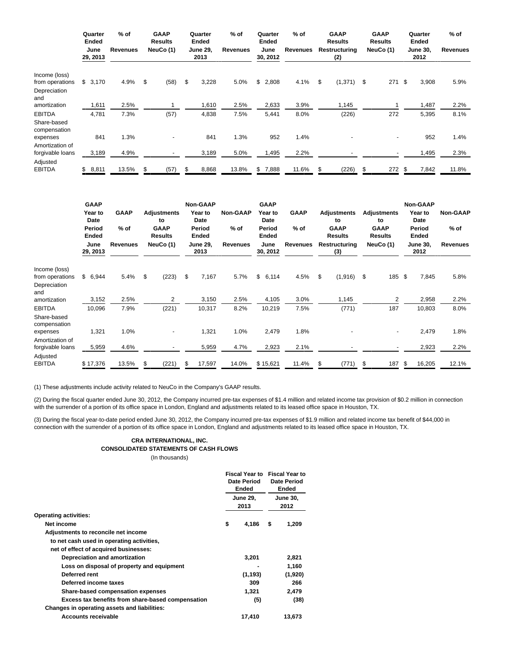|                                     | Quarter<br>Ended<br>June<br>29, 2013 |         | $%$ of<br><b>Revenues</b> |    | <b>GAAP</b><br><b>Results</b><br>NeuCo (1) | Quarter<br><b>Ended</b><br><b>June 29.</b><br>2013 | $%$ of<br><b>Revenues</b> | Quarter<br>Ended<br>June<br>30, 2012 | $%$ of<br><b>Revenues</b> |    | <b>GAAP</b><br><b>Results</b><br>Restructuring<br>(2) | <b>GAAP</b><br><b>Results</b><br>NeuCo (1) |      | Quarter<br>Ended<br><b>June 30,</b><br>2012 | $%$ of<br><b>Revenues</b> |
|-------------------------------------|--------------------------------------|---------|---------------------------|----|--------------------------------------------|----------------------------------------------------|---------------------------|--------------------------------------|---------------------------|----|-------------------------------------------------------|--------------------------------------------|------|---------------------------------------------|---------------------------|
| Income (loss)                       |                                      |         |                           |    |                                            |                                                    |                           |                                      |                           |    |                                                       |                                            |      |                                             |                           |
| from operations                     |                                      | \$3,170 | 4.9%                      | \$ | (58)                                       | \$<br>3,228                                        | 5.0%                      | \$<br>2,808                          | 4.1%                      | \$ | (1, 371)                                              | \$<br>271                                  | - \$ | 3,908                                       | 5.9%                      |
| Depreciation                        |                                      |         |                           |    |                                            |                                                    |                           |                                      |                           |    |                                                       |                                            |      |                                             |                           |
| and<br>amortization                 |                                      | 1,611   | 2.5%                      |    |                                            | 1,610                                              | 2.5%                      | 2,633                                | 3.9%                      |    | 1,145                                                 |                                            |      | 1,487                                       | 2.2%                      |
| <b>EBITDA</b>                       |                                      | 4,781   | 7.3%                      |    | (57)                                       | 4,838                                              | 7.5%                      | 5,441                                | 8.0%                      |    | (226)                                                 | 272                                        |      | 5,395                                       | 8.1%                      |
| Share-based<br>compensation         |                                      |         |                           |    |                                            |                                                    |                           |                                      |                           |    |                                                       |                                            |      |                                             |                           |
| expenses                            |                                      | 841     | 1.3%                      |    |                                            | 841                                                | 1.3%                      | 952                                  | 1.4%                      |    |                                                       | -                                          |      | 952                                         | 1.4%                      |
| Amortization of<br>forgivable loans |                                      | 3,189   | 4.9%                      |    |                                            | 3,189                                              | 5.0%                      | 1,495                                | 2.2%                      |    |                                                       |                                            |      | 1,495                                       | 2.3%                      |
| Adjusted                            |                                      |         |                           |    |                                            |                                                    |                           |                                      |                           |    |                                                       |                                            |      |                                             |                           |
| <b>EBITDA</b>                       |                                      | \$8,811 | 13.5%                     | S  | (57)                                       | \$<br>8,868                                        | 13.8%                     | \$7,888                              | 11.6%                     | S  | (226)                                                 | \$<br>272 \$                               |      | 7,842                                       | 11.8%                     |

|                             | <b>GAAP</b>            |                 |           |                               | Non-GAAP                |                 | <b>GAAP</b>     |                  |                        |                 |                      |                               |           |                               |                         |                 |  |
|-----------------------------|------------------------|-----------------|-----------|-------------------------------|-------------------------|-----------------|-----------------|------------------|------------------------|-----------------|----------------------|-------------------------------|-----------|-------------------------------|-------------------------|-----------------|--|
|                             | Year to<br>Date        | <b>GAAP</b>     |           | <b>Adjustments</b><br>to      |                         | Year to<br>Date | <b>Non-GAAP</b> |                  | Year to<br>Date        | <b>GAAP</b>     |                      | <b>Adjustments</b><br>to      |           | <b>Adjustments</b><br>to      | Year to<br>Date         | <b>Non-GAAP</b> |  |
|                             | Period<br><b>Ended</b> | $%$ of          |           | <b>GAAP</b><br><b>Results</b> | Period<br>Ended         |                 | $%$ of          |                  | Period<br><b>Ended</b> | $%$ of          |                      | <b>GAAP</b><br><b>Results</b> |           | <b>GAAP</b><br><b>Results</b> | Period<br>Ended         | $%$ of          |  |
|                             | June<br>29, 2013       | <b>Revenues</b> | NeuCo (1) |                               | <b>June 29,</b><br>2013 |                 | <b>Revenues</b> | June<br>30, 2012 |                        | <b>Revenues</b> | Restructuring<br>(3) |                               | NeuCo (1) |                               | <b>June 30,</b><br>2012 | Revenues        |  |
| Income (loss)               |                        |                 |           |                               |                         |                 |                 |                  |                        |                 |                      |                               |           |                               |                         |                 |  |
| from operations             | \$6,944                | 5.4%            | \$        | (223)                         | \$                      | 7,167           | 5.7%            |                  | \$6,114                | 4.5%            | \$                   | $(1,916)$ \$                  |           | 185 \$                        | 7,845                   | 5.8%            |  |
| Depreciation<br>and         |                        |                 |           |                               |                         |                 |                 |                  |                        |                 |                      |                               |           |                               |                         |                 |  |
| amortization                | 3,152                  | 2.5%            |           | 2                             |                         | 3,150           | 2.5%            |                  | 4,105                  | 3.0%            |                      | 1,145                         |           | 2                             | 2,958                   | 2.2%            |  |
| <b>EBITDA</b>               | 10,096                 | 7.9%            |           | (221)                         |                         | 10,317          | 8.2%            |                  | 10,219                 | 7.5%            |                      | (771)                         |           | 187                           | 10,803                  | 8.0%            |  |
| Share-based<br>compensation |                        |                 |           |                               |                         |                 |                 |                  |                        |                 |                      |                               |           |                               |                         |                 |  |
| expenses                    | 1,321                  | 1.0%            |           |                               |                         | 1,321           | 1.0%            |                  | 2,479                  | 1.8%            |                      |                               |           |                               | 2,479                   | 1.8%            |  |
| Amortization of             |                        |                 |           |                               |                         |                 |                 |                  |                        |                 |                      |                               |           |                               |                         |                 |  |
| forgivable loans            | 5,959                  | 4.6%            |           |                               |                         | 5,959           | 4.7%            |                  | 2,923                  | 2.1%            |                      |                               |           |                               | 2,923                   | 2.2%            |  |
| Adjusted<br><b>EBITDA</b>   | \$17,376               | 13.5%           | \$        | (221)                         | \$                      | 17,597          | 14.0%           |                  | \$15,621               | 11.4%           | S                    | (771)                         | \$        | 187                           | \$<br>16,205            | 12.1%           |  |
|                             |                        |                 |           |                               |                         |                 |                 |                  |                        |                 |                      |                               |           |                               |                         |                 |  |

(1) These adjustments include activity related to NeuCo in the Company's GAAP results.

(2) During the fiscal quarter ended June 30, 2012, the Company incurred pre-tax expenses of \$1.4 million and related income tax provision of \$0.2 million in connection with the surrender of a portion of its office space in London, England and adjustments related to its leased office space in Houston, TX.

(3) During the fiscal year-to-date period ended June 30, 2012, the Company incurred pre-tax expenses of \$1.9 million and related income tax benefit of \$44,000 in connection with the surrender of a portion of its office space in London, England and adjustments related to its leased office space in Houston, TX.

# **CRA INTERNATIONAL, INC. CONSOLIDATED STATEMENTS OF CASH FLOWS**

(In thousands)

|                                                   | <b>Fiscal Year to Fiscal Year to</b><br>Date Period<br>Ended | <b>Date Period</b><br>Ended |
|---------------------------------------------------|--------------------------------------------------------------|-----------------------------|
|                                                   | <b>June 29,</b><br>2013                                      | <b>June 30,</b><br>2012     |
| <b>Operating activities:</b>                      |                                                              |                             |
| Net income                                        | \$<br>4.186                                                  | \$<br>1,209                 |
| Adjustments to reconcile net income               |                                                              |                             |
| to net cash used in operating activities,         |                                                              |                             |
| net of effect of acquired businesses:             |                                                              |                             |
| Depreciation and amortization                     | 3.201                                                        | 2,821                       |
| Loss on disposal of property and equipment        |                                                              | 1,160                       |
| Deferred rent                                     | (1, 193)                                                     | (1,920)                     |
| Deferred income taxes                             | 309                                                          | 266                         |
| Share-based compensation expenses                 | 1,321                                                        | 2,479                       |
| Excess tax benefits from share-based compensation | (5)                                                          | (38)                        |
| Changes in operating assets and liabilities:      |                                                              |                             |
| <b>Accounts receivable</b>                        | 17,410                                                       | 13.673                      |